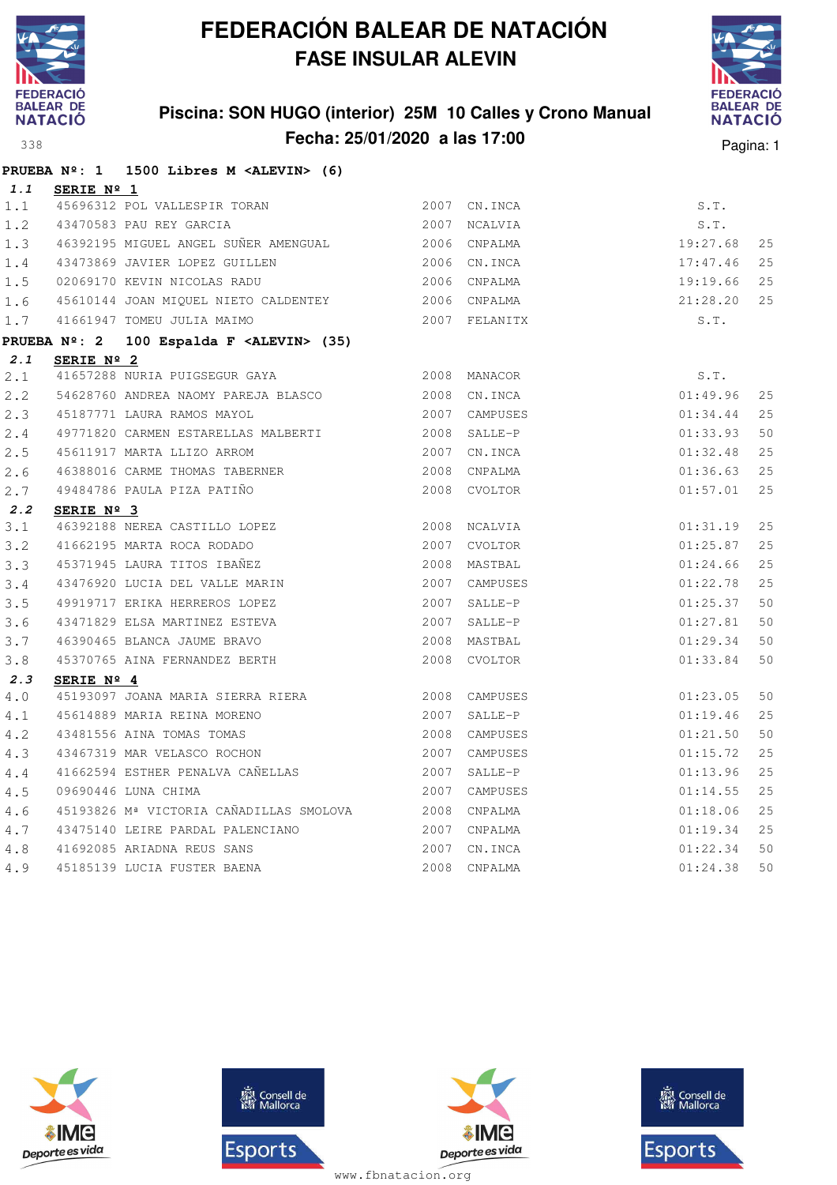

### **Piscina: SON HUGO (interior) 25M 10 Calles y Crono Manual Fecha: 25/01/2020 a las 17:00** Pagina: 1



|         |                     | PRUEBA $N^{\circ}$ : 1 1500 Libres M <alevin> (6)</alevin> |               |               |          |    |
|---------|---------------------|------------------------------------------------------------|---------------|---------------|----------|----|
| 1.1     | <b>SERIE Nº 1</b>   |                                                            |               |               |          |    |
| 1.1     |                     | 45696312 POL VALLESPIR TORAN                               | 2007          | CN.INCA       | S.T.     |    |
| 1.2     |                     | 43470583 PAU REY GARCIA                                    |               | 2007 NCALVIA  | S.T.     |    |
| 1.3     |                     |                                                            |               |               | 19:27.68 | 25 |
| $1.4\,$ |                     | 43473869 JAVIER LOPEZ GUILLEN                              | 2006 CN. INCA |               | 17:47.46 | 25 |
| 1.5     |                     | 02069170 KEVIN NICOLAS RADU                                | 2006 CNPALMA  |               | 19:19.66 | 25 |
| 1.6     |                     | 45610144 JOAN MIQUEL NIETO CALDENTEY 2006 CNPALMA          |               |               | 21:28.20 | 25 |
| 1.7     |                     | 41661947 TOMEU JULIA MAIMO                                 | 2007 FELANITX |               | S.T.     |    |
|         |                     | PRUEBA Nº: 2 100 Espalda F <alevin> (35)</alevin>          |               |               |          |    |
| 2.1     | SERIE $N^{\circ}$ 2 |                                                            |               |               |          |    |
| 2.1     |                     | 41657288 NURIA PUIGSEGUR GAYA                              | 2008 MANACOR  |               | S.T.     |    |
| 2.2     |                     | 54628760 ANDREA NAOMY PAREJA BLASCO                        | 2008 CN. INCA |               | 01:49.96 | 25 |
| 2.3     |                     | 45187771 LAURA RAMOS MAYOL                                 | 2007 CAMPUSES |               | 01:34.44 | 25 |
| 2.4     |                     | 49771820 CARMEN ESTARELLAS MALBERTI 2008 SALLE-P           |               |               | 01:33.93 | 50 |
| 2.5     |                     | 45611917 MARTA LLIZO ARROM                                 | 2007 CN. INCA |               | 01:32.48 | 25 |
| 2.6     |                     | 46388016 CARME THOMAS TABERNER 2008 CNPALMA                |               |               | 01:36.63 | 25 |
| 2.7     |                     | 49484786 PAULA PIZA PATIÑO                                 |               | 2008 CVOLTOR  | 01:57.01 | 25 |
| 2.2     | SERIE Nº 3          |                                                            |               |               |          |    |
| 3.1     |                     | 46392188 NEREA CASTILLO LOPEZ                              |               | 2008 NCALVIA  | 01:31.19 | 25 |
| 3.2     |                     | 41662195 MARTA ROCA RODADO                                 | 2007 CVOLTOR  |               | 01:25.87 | 25 |
| 3.3     |                     | 45371945 LAURA TITOS IBAÑEZ                                |               | 2008 MASTBAL  | 01:24.66 | 25 |
| 3.4     |                     | 43476920 LUCIA DEL VALLE MARIN                             |               | 2007 CAMPUSES | 01:22.78 | 25 |
| 3.5     |                     | 49919717 ERIKA HERREROS LOPEZ                              |               | 2007 SALLE-P  | 01:25.37 | 50 |
| 3.6     |                     | 43471829 ELSA MARTINEZ ESTEVA                              |               | 2007 SALLE-P  | 01:27.81 | 50 |
| 3.7     |                     | 46390465 BLANCA JAUME BRAVO                                |               | 2008 MASTBAL  | 01:29.34 | 50 |
| 3.8     |                     | 45370765 AINA FERNANDEZ BERTH                              |               | 2008 CVOLTOR  | 01:33.84 | 50 |
| 2.3     | SERIE Nº 4          |                                                            |               |               |          |    |
| 4.0     |                     | 45193097 JOANA MARIA SIERRA RIERA                          |               | 2008 CAMPUSES | 01:23.05 | 50 |
| 4.1     |                     | 45614889 MARIA REINA MORENO                                |               | 2007 SALLE-P  | 01:19.46 | 25 |
| 4.2     |                     | 43481556 AINA TOMAS TOMAS                                  |               | 2008 CAMPUSES | 01:21.50 | 50 |
| 4.3     |                     | 43467319 MAR VELASCO ROCHON                                |               | 2007 CAMPUSES | 01:15.72 | 25 |
| 4.4     |                     | 41662594 ESTHER PENALVA CAÑELLAS                           |               | 2007 SALLE-P  | 01:13.96 | 25 |
| 4.5     |                     | 09690446 LUNA CHIMA                                        |               | 2007 CAMPUSES | 01:14.55 | 25 |
| 4.6     |                     | 45193826 Mª VICTORIA CAÑADILLAS SMOLOVA 2008 CNPALMA       |               |               | 01:18.06 | 25 |
| 4.7     |                     | 43475140 LEIRE PARDAL PALENCIANO                           |               | 2007 CNPALMA  | 01:19.34 | 25 |
| 4.8     |                     | 41692085 ARIADNA REUS SANS                                 |               | 2007 CN.INCA  | 01:22.34 | 50 |
| 4.9     |                     | 45185139 LUCIA FUSTER BAENA                                |               | 2008 CNPALMA  | 01:24.38 | 50 |







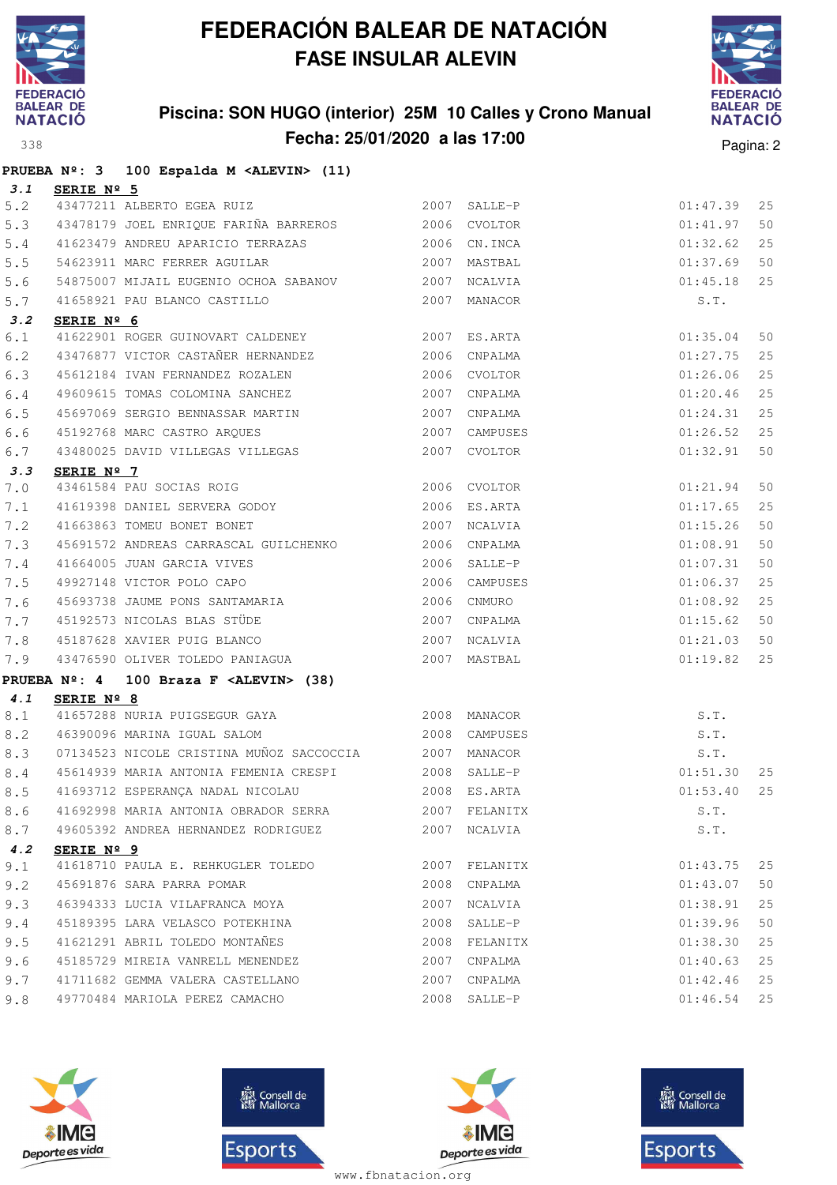

### **Piscina: SON HUGO (interior) 25M 10 Calles y Crono Manual Fecha: 25/01/2020 a las 17:00** Pagina: 2



|         |                     | PRUEBA Nº: 3 100 Espalda M <alevin> (11)</alevin>                                              |      |               |          |    |
|---------|---------------------|------------------------------------------------------------------------------------------------|------|---------------|----------|----|
| 3.1     | SERIE Nº 5          |                                                                                                |      |               |          |    |
| 5.2     |                     | 43477211 ALBERTO EGEA RUIZ 2007 SALLE-P                                                        |      |               | 01:47.39 | 25 |
| 5.3     |                     | 43478179 JOEL ENRIQUE FARIÑA BARREROS 2006 CVOLTOR                                             |      |               | 01:41.97 | 50 |
| $5.4$   |                     | 41623479 ANDREU APARICIO TERRAZAS 2006 CN.INCA                                                 |      |               | 01:32.62 | 25 |
| 5.5     |                     | 2007 MASTBAL<br>54623911 MARC FERRER AGUILAR                                                   |      |               | 01:37.69 | 50 |
| 5.6     |                     | 54875007 MIJAIL EUGENIO OCHOA SABANOV 2007 NCALVIA                                             |      |               | 01:45.18 | 25 |
| 5.7     |                     | 41658921 PAU BLANCO CASTILLO                                                                   |      | 2007 MANACOR  | S.T.     |    |
| 3.2     | SERIE $N^{\circ}$ 6 |                                                                                                |      |               |          |    |
| 6.1     |                     | 41622901 ROGER GUINOVART CALDENEY 2007 ES.ARTA                                                 |      |               | 01:35.04 | 50 |
| 6.2     |                     | 43476877 VICTOR CASTAÑER HERNANDEZ 2006 CNPALMA                                                |      |               | 01:27.75 | 25 |
| 6.3     |                     | 45612184 IVAN FERNANDEZ ROZALEN                                                                |      | 2006 CVOLTOR  | 01:26.06 | 25 |
| $6.4$   |                     | 49609615 TOMAS COLOMINA SANCHEZ 2007 CNPALMA                                                   |      |               | 01:20.46 | 25 |
| 6.5     |                     |                                                                                                |      |               | 01:24.31 | 25 |
| 6.6     |                     | 45192768 MARC CASTRO ARQUES 61 2007 CAMPUSES<br>43480025 DAVID VILLEGAS VILLEGAS 62007 CVOLTOR |      |               | 01:26.52 | 25 |
| 6.7     |                     |                                                                                                |      |               | 01:32.91 | 50 |
| 3.3     | SERIE Nº 7          |                                                                                                |      |               |          |    |
| 7.0     |                     | 43461584 PAU SOCIAS ROIG 2006 CVOLTOR                                                          |      |               | 01:21.94 | 50 |
| 7.1     |                     | 41619398 DANIEL SERVERA GODOY 2006 ES.ARTA                                                     |      |               | 01:17.65 | 25 |
| 7.2     |                     | 2007 NCALVIA<br>41663863 TOMEU BONET BONET                                                     |      |               | 01:15.26 | 50 |
| 7.3     |                     | 45691572 ANDREAS CARRASCAL GUILCHENKO 2006 CNPALMA                                             |      |               | 01:08.91 | 50 |
| $7\,.4$ |                     | 41664005 JUAN GARCIA VIVES<br>49927148 VICTOR POLO CAPO                                        |      | 2006 SALLE-P  | 01:07.31 | 50 |
| 7.5     |                     |                                                                                                |      | 2006 CAMPUSES | 01:06.37 | 25 |
| 7.6     |                     | 45693738 JAUME PONS SANTAMARIA                                                                 |      | 2006 CNMURO   | 01:08.92 | 25 |
| 7.7     |                     | 45192573 NICOLAS BLAS STÜDE<br>45192573 NICOLAS BLAS STÜDE<br>45197620 VAUTER PUSS STÜDE       |      |               | 01:15.62 | 50 |
| 7.8     |                     | 45187628 XAVIER PUIG BLANCO 2007 NCALVIA                                                       |      |               | 01:21.03 | 50 |
| 7.9     |                     |                                                                                                |      |               | 01:19.82 | 25 |
|         |                     | PRUEBA Nº: 4 100 Braza F <alevin> (38)</alevin>                                                |      |               |          |    |
| 4.1     | SERIE Nº 8          |                                                                                                |      |               |          |    |
| $8.1$   |                     | 41657288 NURIA PUIGSEGUR GAYA (2008 MANACOR                                                    |      |               | S.T.     |    |
| 8.2     |                     | 2008 CAMPUSES<br>46390096 MARINA IGUAL SALOM                                                   |      |               | S.T.     |    |
| 8.3     |                     | 07134523 NICOLE CRISTINA MUÑOZ SACCOCCIA 2007 MANACOR                                          |      |               | S.T.     |    |
| 8.4     |                     | 45614939 MARIA ANTONIA FEMENIA CRESPI 2008 SALLE-P                                             |      |               | 01:51.30 | 25 |
| 8.5     |                     | 41693712 ESPERANÇA NADAL NICOLAU                                                               |      | 2008 ES.ARTA  | 01:53.40 | 25 |
| 8.6     |                     | 41692998 MARIA ANTONIA OBRADOR SERRA                                                           |      | 2007 FELANITX | S.T.     |    |
| 8.7     |                     | 49605392 ANDREA HERNANDEZ RODRIGUEZ                                                            | 2007 | NCALVIA       | S.T.     |    |
| 4.2     | SERIE Nº 9          |                                                                                                |      |               |          |    |
| 9.1     |                     | 41618710 PAULA E. REHKUGLER TOLEDO                                                             |      | 2007 FELANITX | 01:43.75 | 25 |
| 9.2     |                     | 45691876 SARA PARRA POMAR                                                                      | 2008 | CNPALMA       | 01:43.07 | 50 |
| 9.3     |                     | 46394333 LUCIA VILAFRANCA MOYA                                                                 | 2007 | NCALVIA       | 01:38.91 | 25 |
| 9.4     |                     | 45189395 LARA VELASCO POTEKHINA                                                                | 2008 | SALLE-P       | 01:39.96 | 50 |
| 9.5     |                     | 41621291 ABRIL TOLEDO MONTAÑES                                                                 | 2008 | FELANITX      | 01:38.30 | 25 |
| 9.6     |                     | 45185729 MIREIA VANRELL MENENDEZ                                                               | 2007 | CNPALMA       | 01:40.63 | 25 |
| 9.7     |                     | 41711682 GEMMA VALERA CASTELLANO                                                               | 2007 | CNPALMA       | 01:42.46 | 25 |
| 9.8     |                     | 49770484 MARIOLA PEREZ CAMACHO                                                                 |      | 2008 SALLE-P  | 01:46.54 | 25 |







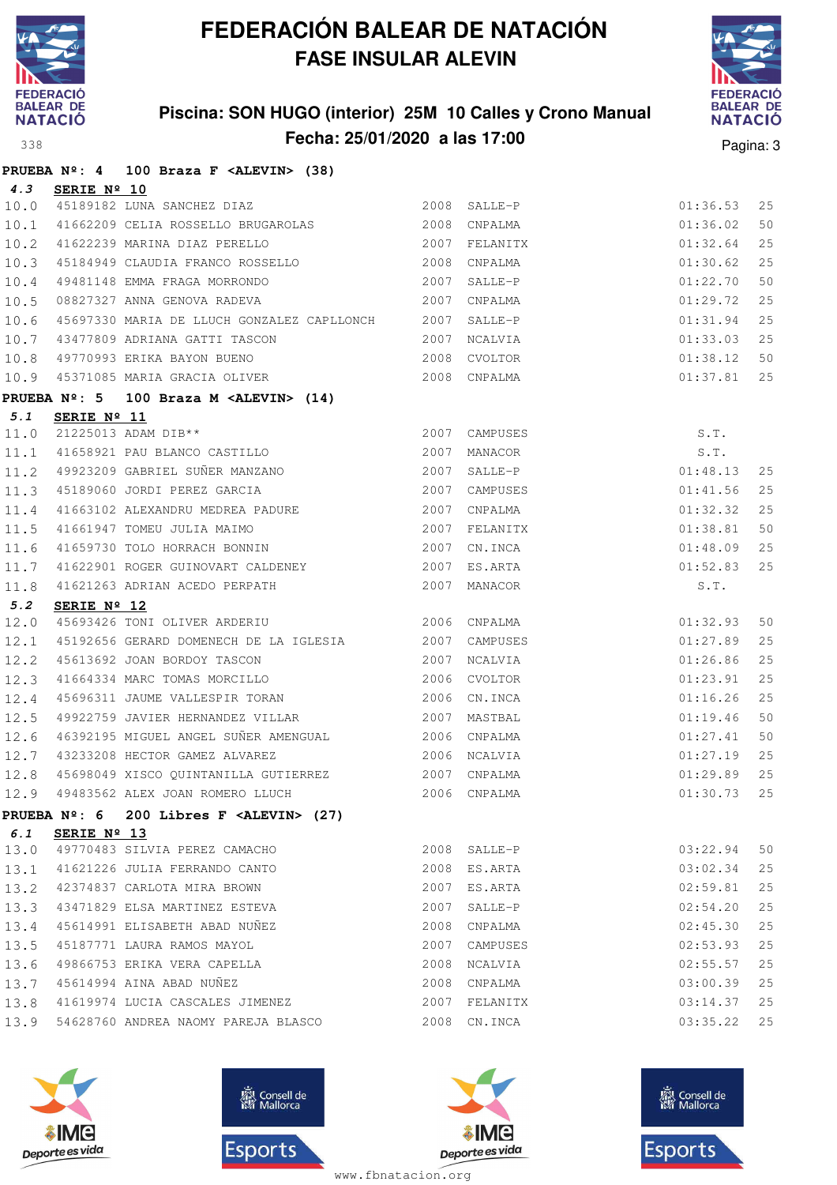

### **Piscina: SON HUGO (interior) 25M 10 Calles y Crono Manual Fecha: 25/01/2020 a las 17:00** Pagina: 3



|      |                      | PRUEBA Nº: 4 100 Braza F <alevin> (38)</alevin>                                                                                        |      |                                |          |    |
|------|----------------------|----------------------------------------------------------------------------------------------------------------------------------------|------|--------------------------------|----------|----|
| 4.3  | SERIE Nº 10          |                                                                                                                                        |      |                                |          |    |
| 10.0 |                      | 45189182 LUNA SANCHEZ DIAZ<br>11662209 CEIIA DOCOTIO DELETERRE                                                                         |      |                                | 01:36.53 | 25 |
| 10.1 |                      | 41662209 CELIA ROSSELLO BRUGAROLAS 2008 CNPALMA                                                                                        |      |                                | 01:36.02 | 50 |
| 10.2 |                      | 2007 FELANITX<br>41622239 MARINA DIAZ PERELLO                                                                                          |      |                                | 01:32.64 | 25 |
| 10.3 |                      |                                                                                                                                        |      |                                | 01:30.62 | 25 |
| 10.4 |                      |                                                                                                                                        |      |                                | 01:22.70 | 50 |
| 10.5 |                      |                                                                                                                                        |      |                                | 01:29.72 | 25 |
| 10.6 |                      | 45697330 MARIA DE LLUCH GONZALEZ CAPLLONCH 2007 SALLE-P                                                                                |      |                                | 01:31.94 | 25 |
| 10.7 |                      |                                                                                                                                        |      |                                | 01:33.03 | 25 |
| 10.8 |                      |                                                                                                                                        |      |                                | 01:38.12 | 50 |
| 10.9 |                      | 43477809 ADRIANA GATTI TASCON 199770993 ERIKA BAYON BUENO 199770993 ERIKA BAYON BUENO 1997 2008 CVOLTOR 45371085 MARIA GRACIA OLIVER   |      |                                | 01:37.81 | 25 |
|      | <b>PRUEBA Nº: 5</b>  | 100 Braza M <alevin> (14)</alevin>                                                                                                     |      |                                |          |    |
| 5.1  | SERIE Nº 11          |                                                                                                                                        |      |                                |          |    |
| 11.0 |                      | 21225013 ADAM DIB**                                                                                                                    |      |                                | S.T.     |    |
| 11.1 |                      | 2007 CAMPUSES<br>2007 CAMPUSES<br>41658921 PAU BLANCO CASTILLO<br>49923209 GABRIEL SUÑER MANZANO<br>2007 SALLE-P                       |      | $S.T.$<br>$S.T.$<br>$01:48.13$ |          |    |
| 11.2 |                      |                                                                                                                                        |      |                                |          | 25 |
| 11.3 |                      | 45189060 JORDI PEREZ GARCIA 2007                                                                                                       |      | CAMPUSES                       | 01:41.56 | 25 |
| 11.4 |                      |                                                                                                                                        |      |                                | 01:32.32 | 25 |
| 11.5 |                      |                                                                                                                                        |      |                                | 01:38.81 | 50 |
| 11.6 |                      | 41663102 ALEXANDRU MEDREA PADURE 2007 CNPALMA<br>41661947 TOMEU JULIA MAIMO 2007 FELANITX<br>41659730 TOLO HORRACH BONNIN 2007 CN.INCA |      |                                | 01:48.09 | 25 |
| 11.7 |                      |                                                                                                                                        |      | $01:52.83$<br>S.T.             |          | 25 |
| 11.8 |                      |                                                                                                                                        |      |                                |          |    |
| 5.2  | SERIE $N^{\circ}$ 12 |                                                                                                                                        |      |                                |          |    |
| 12.0 |                      | 45693426 TONI OLIVER ARDERIU<br>2006 CNPALMA                                                                                           |      |                                | 01:32.93 | 50 |
| 12.1 |                      | 45192656 GERARD DOMENECH DE LA IGLESIA 2007 CAMPUSES                                                                                   |      |                                | 01:27.89 | 25 |
| 12.2 |                      |                                                                                                                                        |      |                                | 01:26.86 | 25 |
| 12.3 |                      | 45613692 JOAN BORDOY TASCON 2007 NCALVIA<br>41664334 MARC TOMAS MORCILLO 2006 CVOLTOR<br>45696311 JAUME VALLESPIR TORAN 2006 CN.INCA   |      |                                | 01:23.91 | 25 |
| 12.4 |                      |                                                                                                                                        |      |                                | 01:16.26 | 25 |
| 12.5 |                      | 49922759 JAVIER HERNANDEZ VILLAR 2007 MASTBAL                                                                                          |      |                                | 01:19.46 | 50 |
| 12.6 |                      | 46392195 MIGUEL ANGEL SUÑER AMENGUAL (2006) CNPALMA                                                                                    |      |                                | 01:27.41 | 50 |
| 12.7 |                      | 43233208 HECTOR GAMEZ ALVAREZ                                                                                                          |      | 2006 NCALVIA                   | 01:27.19 | 25 |
| 12.8 |                      | 45698049 XISCO QUINTANILLA GUTIERREZ 2007 CNPALMA                                                                                      |      |                                | 01:29.89 | 25 |
|      |                      | 12.9 49483562 ALEX JOAN ROMERO LLUCH 2006 CNPALMA 601:30.73 25                                                                         |      |                                |          |    |
|      |                      | PRUEBA $N^{\circ}$ : 6 200 Libres F <alevin> (27)</alevin>                                                                             |      |                                |          |    |
| 6.1  | SERIE Nº 13          |                                                                                                                                        |      |                                |          |    |
|      |                      | 13.0 49770483 SILVIA PEREZ CAMACHO                                                                                                     |      | 2008 SALLE-P                   | 03:22.94 | 50 |
| 13.1 |                      | 41621226 JULIA FERRANDO CANTO                                                                                                          |      | 2008 ES.ARTA                   | 03:02.34 | 25 |
| 13.2 |                      | 42374837 CARLOTA MIRA BROWN                                                                                                            | 2007 | ES.ARTA                        | 02:59.81 | 25 |
| 13.3 |                      | 43471829 ELSA MARTINEZ ESTEVA                                                                                                          | 2007 | SALLE-P                        | 02:54.20 | 25 |
| 13.4 |                      | 45614991 ELISABETH ABAD NUÑEZ                                                                                                          |      | 2008 CNPALMA                   | 02:45.30 | 25 |
| 13.5 |                      | 45187771 LAURA RAMOS MAYOL                                                                                                             | 2007 | CAMPUSES                       | 02:53.93 | 25 |
| 13.6 |                      | 49866753 ERIKA VERA CAPELLA                                                                                                            |      | 2008 NCALVIA                   | 02:55.57 | 25 |
| 13.7 |                      | 45614994 AINA ABAD NUNEZ                                                                                                               |      | 2008 CNPALMA                   | 03:00.39 | 25 |
| 13.8 |                      | 41619974 LUCIA CASCALES JIMENEZ                                                                                                        |      | 2007 FELANITX                  | 03:14.37 | 25 |
| 13.9 |                      | 54628760 ANDREA NAOMY PAREJA BLASCO                                                                                                    |      | 2008 CN.INCA                   | 03:35.22 | 25 |







**感** Consell de Esports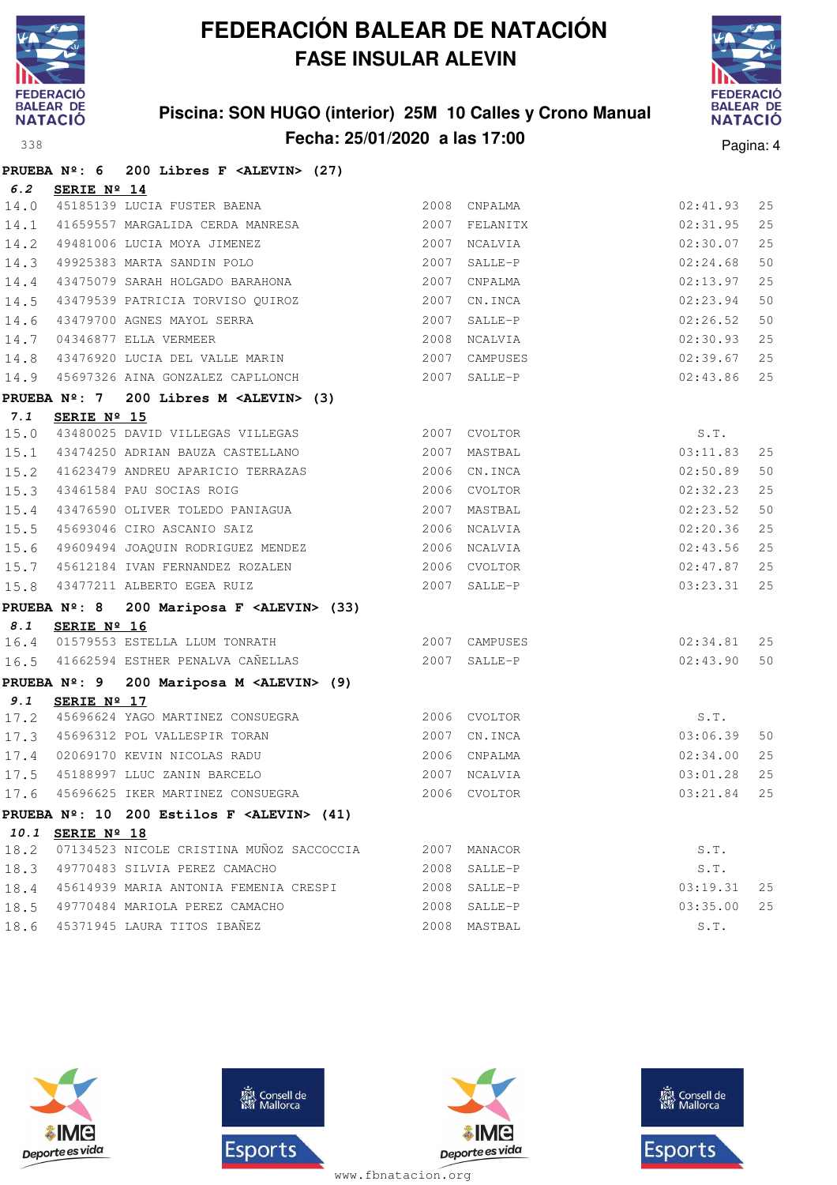

### **Piscina: SON HUGO (interior) 25M 10 Calles y Crono Manual Fecha: 25/01/2020 a las 17:00** Pagina: 4



|      |                  | PRUEBA Nº: 6 200 Libres F <alevin> (27)</alevin>                                                                                                                                                                                                    |              |              |                    |    |
|------|------------------|-----------------------------------------------------------------------------------------------------------------------------------------------------------------------------------------------------------------------------------------------------|--------------|--------------|--------------------|----|
| 6.2  | SERIE Nº 14      |                                                                                                                                                                                                                                                     |              |              |                    |    |
|      |                  | 14.0 45185139 LUCIA FUSTER BAENA<br>45185139 LUCIA FUSTER BAENA (2008 CNPALMA / 2008)<br>41659557 MARGALIDA CERDA MANRESA (2007 FELANITX)                                                                                                           |              |              | 02:41.93           | 25 |
| 14.1 |                  |                                                                                                                                                                                                                                                     |              |              | 02:31.95           | 25 |
| 14.2 |                  | 49481006 LUCIA MOYA JIMENEZ 2007 NCALVIA                                                                                                                                                                                                            |              |              | 02:30.07           | 25 |
|      |                  | 14.3 49925383 MARTA SANDIN POLO<br>14.4.43475079.63PAUL UOLOGARO RARAUGUS                                                                                                                                                                           |              | 2007 SALLE-P | 02:24.68           | 50 |
| 14.4 |                  |                                                                                                                                                                                                                                                     |              |              | 02:13.97           | 25 |
| 14.5 |                  | 43479539 PATRICIA TORVISO QUIROZ 2007                                                                                                                                                                                                               |              | CN.INCA      | 02:23.94           | 50 |
| 14.6 |                  |                                                                                                                                                                                                                                                     |              |              | 02:26.52           | 50 |
|      |                  | 14.7 04346877 ELLA VERMEER                                                                                                                                                                                                                          |              |              | 02:30.93           | 25 |
| 14.8 |                  |                                                                                                                                                                                                                                                     |              |              | 02:39.67           | 25 |
|      |                  | 14.9 45697326 AINA GONZALEZ CAPLLONCH 2007 SALLE-P                                                                                                                                                                                                  |              |              | 02:43.86           | 25 |
|      |                  | PRUEBA Nº: 7 200 Libres M <alevin> (3)</alevin>                                                                                                                                                                                                     |              |              |                    |    |
| 7.1  | SERIE Nº 15      |                                                                                                                                                                                                                                                     |              |              |                    |    |
|      |                  | 15.0 43480025 DAVID VILLEGAS VILLEGAS 2007 CVOLTOR                                                                                                                                                                                                  |              |              | $S.T.$<br>03:11.83 |    |
|      |                  | 15.1 43474250 ADRIAN BAUZA CASTELLANO 6 2007 MASTBAL                                                                                                                                                                                                |              |              |                    | 25 |
| 15.2 |                  | 41623479 ANDREU APARICIO TERRAZAS 2006 CN.INCA                                                                                                                                                                                                      |              |              | 02:50.89           | 50 |
| 15.3 |                  | 43461584 PAU SOCIAS ROIG                                                                                                                                                                                                                            |              | 2006 CVOLTOR | 02:32.23           | 25 |
| 15.4 |                  |                                                                                                                                                                                                                                                     |              |              | 02:23.52           | 50 |
| 15.5 |                  | 45693046 CIRO ASCANIO SAIZ                                                                                                                                                                                                                          | 2006 NCALVIA |              | 02:20.36           | 25 |
| 15.6 |                  | 49609494 JOAQUIN RODRIGUEZ MENDEZ 2006 NCALVIA                                                                                                                                                                                                      |              |              | 02:43.56           | 25 |
|      |                  | 15.7 45612184 IVAN FERNANDEZ ROZALEN 2006 CVOLTOR                                                                                                                                                                                                   |              |              | 02:47.87           | 25 |
| 15.8 |                  | 43477211 ALBERTO EGEA RUIZ                                                                                                                                                                                                                          | 2007 SALLE-P |              | 03:23.31           | 25 |
|      |                  | PRUEBA Nº: 8 200 Mariposa F <alevin> (33)</alevin>                                                                                                                                                                                                  |              |              |                    |    |
| 8.1  | SERIE Nº 16      |                                                                                                                                                                                                                                                     |              |              |                    |    |
|      |                  | 16.4 01579553 ESTELLA LLUM TONRATH 2007 CAMPUSES                                                                                                                                                                                                    |              |              | 02:34.81           | 25 |
|      |                  | 16.5 41662594 ESTHER PENALVA CAÑELLAS                                                                                                                                                                                                               |              | 2007 SALLE-P | 02:43.90           | 50 |
|      |                  | PRUEBA Nº: 9 200 Mariposa M <alevin> (9)</alevin>                                                                                                                                                                                                   |              |              |                    |    |
| 9.1  | SERIE Nº 17      |                                                                                                                                                                                                                                                     |              |              |                    |    |
|      |                  |                                                                                                                                                                                                                                                     |              |              | S.T.               |    |
|      |                  |                                                                                                                                                                                                                                                     |              |              | 03:06.39           | 50 |
|      |                  | $\begin{tabular}{lllllllllll} 17.2 & \textbf{45696624 YAGO MARTINEZ CONSUEGRA} & & & & 2006 CVOLTOR \\ 17.3 & \textbf{45696312 POL VALLESPIR TORAN} & & & 2007 CN.INCA \\ 17.4 & 02069170 KEVIN NICOLAS RADU & & & & 2006 CNPAIMA \\ \end{tabular}$ |              |              | 02:34.00           | 25 |
| 17.5 |                  | 45188997 LLUC ZANIN BARCELO                                                                                                                                                                                                                         |              | 2007 NCALVIA | 03:01.28           | 25 |
|      |                  | 17.6 45696625 IKER MARTINEZ CONSUEGRA 2006 CVOLTOR 2006 CVOLTOR 25                                                                                                                                                                                  |              |              |                    |    |
|      |                  | PRUEBA Nº: 10 200 Estilos F <alevin> (41)</alevin>                                                                                                                                                                                                  |              |              |                    |    |
|      | 10.1 SERIE Nº 18 |                                                                                                                                                                                                                                                     |              |              |                    |    |
| 18.2 |                  | 07134523 NICOLE CRISTINA MUÑOZ SACCOCCIA                                                                                                                                                                                                            |              | 2007 MANACOR | S.T.               |    |
| 18.3 |                  | 49770483 SILVIA PEREZ CAMACHO                                                                                                                                                                                                                       | 2008         | SALLE-P      | S.T.               |    |
| 18.4 |                  | 45614939 MARIA ANTONIA FEMENIA CRESPI                                                                                                                                                                                                               |              | 2008 SALLE-P | 03:19.31           | 25 |
| 18.5 |                  | 49770484 MARIOLA PEREZ CAMACHO                                                                                                                                                                                                                      |              | 2008 SALLE-P | 03:35.00           | 25 |
| 18.6 |                  | 45371945 LAURA TITOS IBAÑEZ                                                                                                                                                                                                                         |              | 2008 MASTBAL | S.T.               |    |







**感** Consell de Esports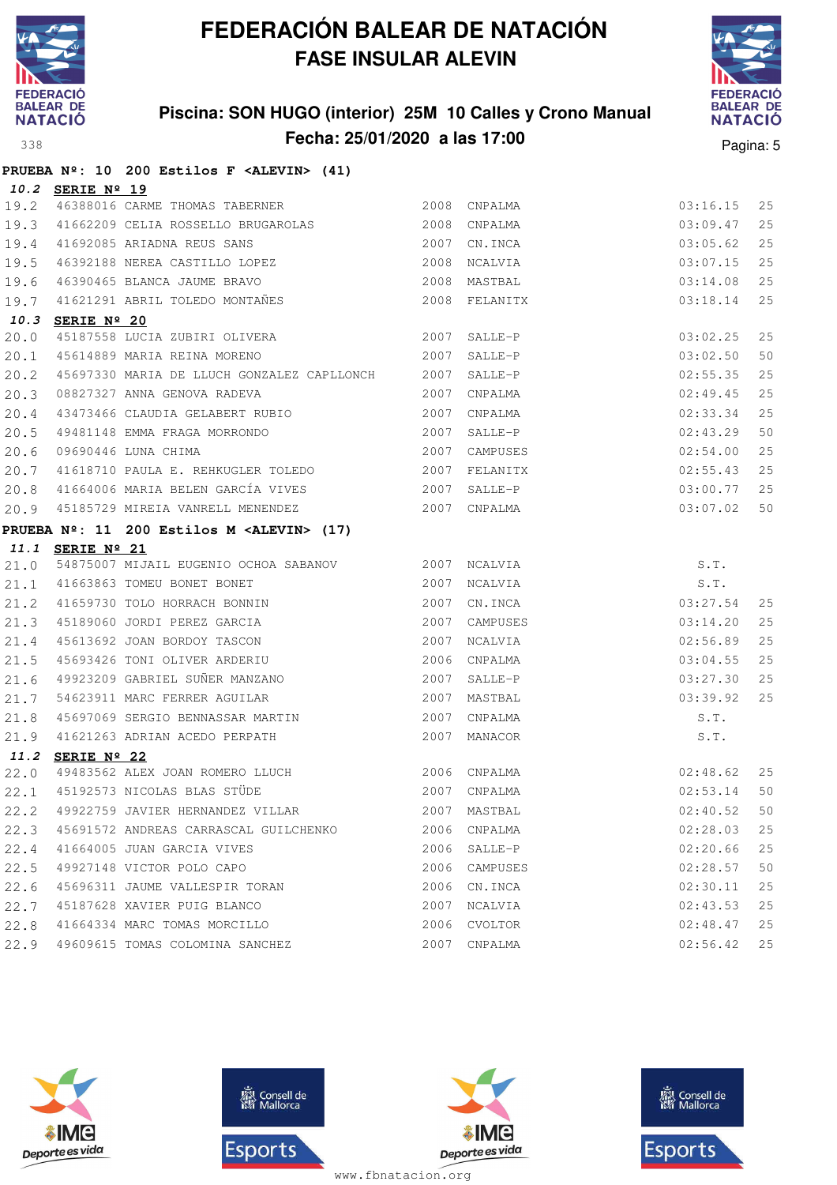

### **Piscina: SON HUGO (interior) 25M 10 Calles y Crono Manual Fecha: 25/01/2020 a las 17:00** Pagina: 5



|      |                  | PRUEBA Nº: 10 200 Estilos F <alevin> (41)</alevin>                                                                                                                                                                                                                                                                |      |               |                                      |    |
|------|------------------|-------------------------------------------------------------------------------------------------------------------------------------------------------------------------------------------------------------------------------------------------------------------------------------------------------------------|------|---------------|--------------------------------------|----|
|      | 10.2 SERIE Nº 19 |                                                                                                                                                                                                                                                                                                                   |      |               |                                      |    |
|      |                  | 19.2 46388016 CARME THOMAS TABERNER 2008 CNPALMA                                                                                                                                                                                                                                                                  |      |               | 03:16.15                             | 25 |
| 19.3 |                  | 41662209 CELIA ROSSELLO BRUGAROLAS 2008 CNPALMA                                                                                                                                                                                                                                                                   |      |               | 03:09.47                             | 25 |
| 19.4 |                  | 2007 CN.INCA<br>41692085 ARIADNA REUS SANS                                                                                                                                                                                                                                                                        |      |               | 03:05.62                             | 25 |
| 19.5 |                  | 46392188 NEREA CASTILLO LOPEZ 2008                                                                                                                                                                                                                                                                                |      | NCALVIA       | 03:07.15                             | 25 |
|      |                  |                                                                                                                                                                                                                                                                                                                   |      |               | 03:14.08                             | 25 |
|      |                  | 19.6 46390465 BLANCA JAUME BRAVO (2008) MARTBAL<br>19.7 41621291 ABRIL TOLEDO MONTAÑES 2008 FELANITX                                                                                                                                                                                                              |      | 2008 FELANITX | 03:18.14                             | 25 |
|      | 10.3 SERIE Nº 20 |                                                                                                                                                                                                                                                                                                                   |      |               |                                      |    |
| 20.0 |                  |                                                                                                                                                                                                                                                                                                                   |      |               | 03:02.25                             | 25 |
| 20.1 |                  | 45614889 MARIA REINA MORENO 2007                                                                                                                                                                                                                                                                                  |      | SALLE-P       | 03:02.50                             | 50 |
| 20.2 |                  | 45697330 MARIA DE LLUCH GONZALEZ CAPLLONCH 2007 SALLE-P                                                                                                                                                                                                                                                           |      |               | 02:55.35                             | 25 |
| 20.3 |                  | 08827327 ANNA GENOVA RADEVA                                                                                                                                                                                                                                                                                       |      | 2007 CNPALMA  | 02:49.45                             | 25 |
| 20.4 |                  | 43473466 CLAUDIA GELABERT RUBIO                                                                                                                                                                                                                                                                                   |      | 2007 CNPALMA  | 02:33.34                             | 25 |
| 20.5 |                  | 99481148 EMMA FRAGA MORRONDO<br>09690446 LUNA CHIMA 2007 CAMPUSES<br>41618710 PAULA E. REHKUGLER TOLEDO 2007 FELANITX                                                                                                                                                                                             |      |               | 02:43.29                             | 50 |
| 20.6 |                  |                                                                                                                                                                                                                                                                                                                   |      | 2007 CAMPUSES | 02:54.00                             | 25 |
| 20.7 |                  |                                                                                                                                                                                                                                                                                                                   |      |               | 02:55.43                             | 25 |
|      |                  |                                                                                                                                                                                                                                                                                                                   |      |               | 03:00.77                             | 25 |
|      |                  | 20.9 45185729 MIREIA VANRELL MENENDEZ 2007 CNPALMA                                                                                                                                                                                                                                                                |      |               | 03:07.02                             | 50 |
|      |                  | PRUEBA Nº: 11 200 Estilos M <alevin> (17)</alevin>                                                                                                                                                                                                                                                                |      |               |                                      |    |
|      | 11.1 SERIE Nº 21 |                                                                                                                                                                                                                                                                                                                   |      |               |                                      |    |
| 21.0 |                  | 54875007 MIJAIL EUGENIO OCHOA SABANOV 2007 NCALVIA                                                                                                                                                                                                                                                                |      |               | S.T.<br>S.T.<br>03:27.54<br>03:14.20 |    |
|      |                  | $\begin{array}{ l l l }21.1&41663863&\texttt{TOMEU BONET BONET}&&&2007&\texttt{NCALVIA}\\ 21.2&41659730&\texttt{TOLO HORRACH BONNIN}&&2007&\texttt{CN.INCA}\\ 21.3&45189060&\texttt{JORDI PEREZ GARCHA}&&2007&\texttt{CAMPUSES}\\ 21.4&45613692&\texttt{JOAN BORDOY TASCON}&&2007&\texttt{NCALVIA}\\ \end{array}$ |      |               |                                      |    |
|      |                  |                                                                                                                                                                                                                                                                                                                   |      |               |                                      | 25 |
|      |                  |                                                                                                                                                                                                                                                                                                                   |      | 2007 CAMPUSES |                                      | 25 |
|      |                  |                                                                                                                                                                                                                                                                                                                   |      |               | 02:56.89                             | 25 |
| 21.5 |                  | 45693426 TONI OLIVER ARDERIU                                                                                                                                                                                                                                                                                      | 2006 | CNPALMA       | 03:04.55                             | 25 |
| 21.6 |                  | 49923209 GABRIEL SUÑER MANZANO<br>54623911 MARC FERRER AGUILAR                                                                                                                                                                                                                                                    | 2007 | SALLE-P       | 03:27.30                             | 25 |
| 21.7 |                  |                                                                                                                                                                                                                                                                                                                   |      | 2007 MASTBAL  | 03:39.92                             | 25 |
| 21.8 |                  | 45697069 SERGIO BENNASSAR MARTIN 2007                                                                                                                                                                                                                                                                             |      | CNPALMA       | S.T.                                 |    |
| 21.9 |                  | 41621263 ADRIAN ACEDO PERPATH                                                                                                                                                                                                                                                                                     |      | 2007 MANACOR  | S.T.                                 |    |
|      | 11.2 SERIE Nº 22 |                                                                                                                                                                                                                                                                                                                   |      |               |                                      |    |
|      |                  | $\begin{array}{cccc} 22.0 & 49483562 & \text{ALEX JOHN ROMERO LLUCH} & 2006 & \text{CNPALMA} \\ 22.1 & 45192573 & \text{NICOLAS BLAS STÜDE} & 2007 & \text{CNPALMA} \end{array}$                                                                                                                                  |      |               | 02:48.62                             | 25 |
|      |                  |                                                                                                                                                                                                                                                                                                                   |      |               | 02:53.14                             | 50 |
| 22.2 |                  | 49922759 JAVIER HERNANDEZ VILLAR                                                                                                                                                                                                                                                                                  | 2007 | MASTBAL       | 02:40.52                             | 50 |
|      |                  | 22.3 45691572 ANDREAS CARRASCAL GUILCHENKO                                                                                                                                                                                                                                                                        | 2006 | CNPALMA       | 02:28.03                             | 25 |
| 22.4 |                  | 41664005 JUAN GARCIA VIVES                                                                                                                                                                                                                                                                                        |      | 2006 SALLE-P  | 02:20.66                             | 25 |
| 22.5 |                  | 49927148 VICTOR POLO CAPO                                                                                                                                                                                                                                                                                         |      | 2006 CAMPUSES | 02:28.57                             | 50 |
| 22.6 |                  | 45696311 JAUME VALLESPIR TORAN                                                                                                                                                                                                                                                                                    | 2006 | CN.INCA       | 02:30.11                             | 25 |
|      |                  | 22.7 45187628 XAVIER PUIG BLANCO                                                                                                                                                                                                                                                                                  | 2007 | NCALVIA       | 02:43.53                             | 25 |
|      |                  | 22.8 41664334 MARC TOMAS MORCILLO                                                                                                                                                                                                                                                                                 | 2006 | CVOLTOR       | 02:48.47                             | 25 |
|      |                  | 22.9 49609615 TOMAS COLOMINA SANCHEZ                                                                                                                                                                                                                                                                              | 2007 | CNPALMA       | 02:56.42                             | 25 |







**感** Consell de Esports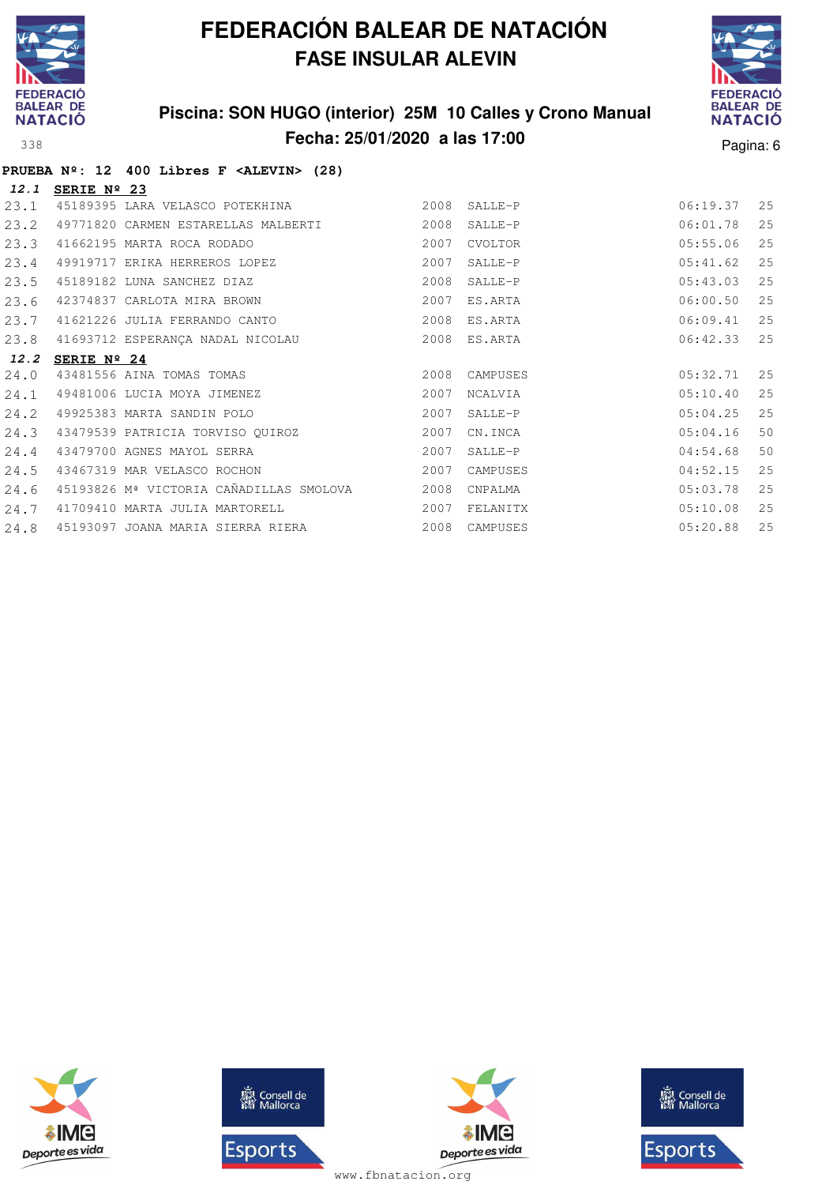

### **Piscina: SON HUGO (interior) 25M 10 Calles y Crono Manual Fecha: 25/01/2020 a las 17:00** Pagina: 6



|      |             | PRUEBA $N^2$ : 12 400 Libres F <alevin> (28)</alevin> |      |           |          |    |
|------|-------------|-------------------------------------------------------|------|-----------|----------|----|
| 12.1 | SERIE Nº 23 |                                                       |      |           |          |    |
| 23.1 |             | 45189395 LARA VELASCO POTEKHINA                       | 2008 | SALLE-P   | 06:19.37 | 25 |
| 23.2 |             | 49771820 CARMEN ESTARELLAS MALBERTI                   | 2008 | $SALLE-P$ | 06:01.78 | 25 |
| 23.3 |             | 41662195 MARTA ROCA RODADO                            | 2007 | CVOLTOR   | 05:55.06 | 25 |
| 23.4 |             | 49919717 ERIKA HERREROS LOPEZ                         | 2007 | $SALLE-P$ | 05:41.62 | 25 |
| 23.5 |             | 45189182 LUNA SANCHEZ DIAZ                            | 2008 | SALLE-P   | 05:43.03 | 25 |
| 23.6 |             | 42374837 CARLOTA MIRA BROWN                           | 2007 | ES.ARTA   | 06:00.50 | 25 |
| 23.7 |             | 41621226 JULIA FERRANDO CANTO                         | 2008 | ES.ARTA   | 06:09.41 | 25 |
| 23.8 |             | 41693712 ESPERANÇA NADAL NICOLAU                      | 2008 | ES.ARTA   | 06:42.33 | 25 |
| 12.2 | SERIE Nº 24 |                                                       |      |           |          |    |
| 24.0 |             | 43481556 AINA TOMAS TOMAS                             | 2008 | CAMPUSES  | 05:32.71 | 25 |
| 24.1 |             | 49481006 LUCIA MOYA JIMENEZ                           | 2007 | NCALVIA   | 05:10.40 | 25 |
| 24.2 |             | 49925383 MARTA SANDIN POLO                            | 2007 | SALLE-P   | 05:04.25 | 25 |
| 24.3 |             | 43479539 PATRICIA TORVISO QUIROZ                      | 2007 | CN.INCA   | 05:04.16 | 50 |
| 24.4 |             | 43479700 AGNES MAYOL SERRA                            | 2007 | SALLE-P   | 04:54.68 | 50 |
| 24.5 |             | 43467319 MAR VELASCO ROCHON                           | 2007 | CAMPUSES  | 04:52.15 | 25 |
| 24.6 |             | 45193826 Mª VICTORIA CAÑADILLAS SMOLOVA               | 2008 | CNPALMA   | 05:03.78 | 25 |
| 24.7 |             | 41709410 MARTA JULIA MARTORELL                        | 2007 | FELANITX  | 05:10.08 | 25 |
| 24.8 |             | 45193097 JOANA MARIA SIERRA RIERA                     | 2008 | CAMPUSES  | 05:20.88 | 25 |







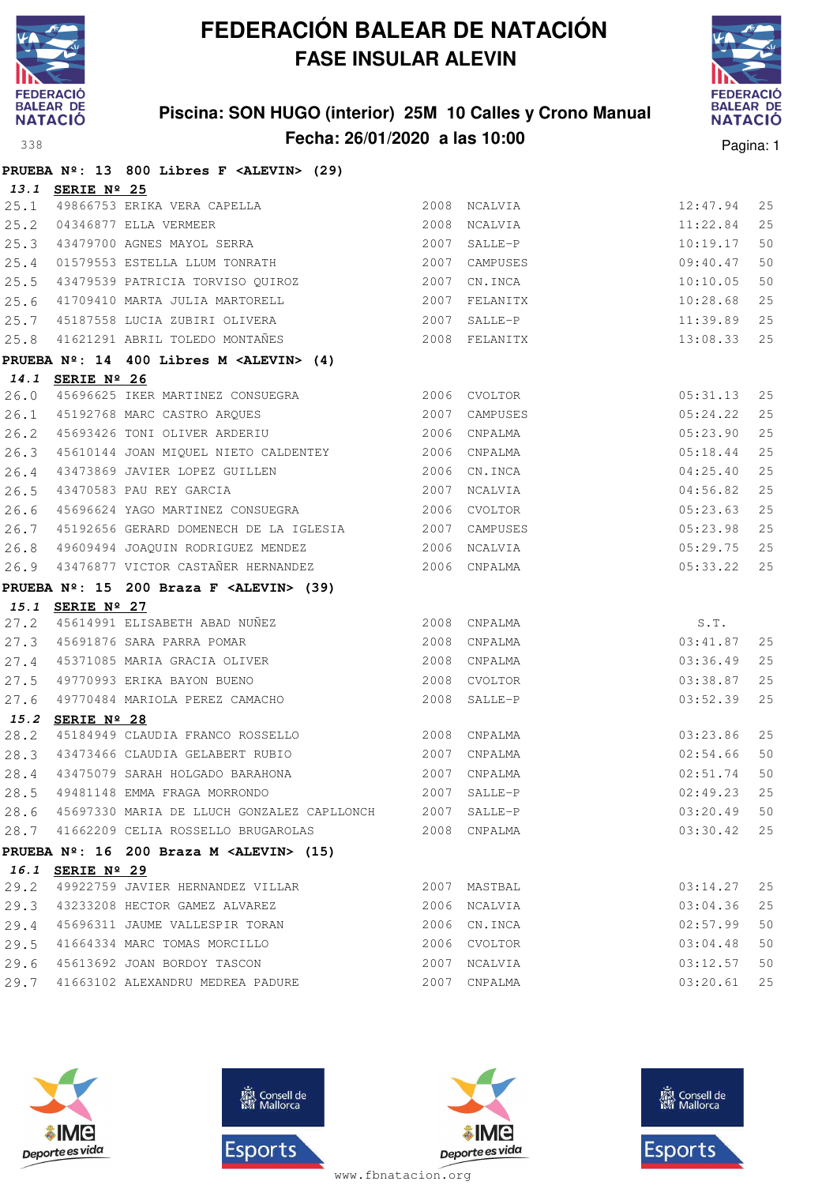

### **Piscina: SON HUGO (interior) 25M 10 Calles y Crono Manual Fecha: 26/01/2020 a las 10:00** Pagina: 1



|              |                  | PRUEBA Nº: 13 800 Libres F <alevin> (29)</alevin>                                                                                                                                                                 |               |          |    |
|--------------|------------------|-------------------------------------------------------------------------------------------------------------------------------------------------------------------------------------------------------------------|---------------|----------|----|
|              | 13.1 SERIE Nº 25 |                                                                                                                                                                                                                   |               |          |    |
| 25.1         |                  |                                                                                                                                                                                                                   | 2008 NCALVIA  | 12:47.94 | 25 |
| 25.2         |                  | 49866753 ERIKA VERA CAPELLA<br>04346877 ELLA VERMEER<br>43479700 AGNES MAYOL SERRA                                                                                                                                | 2008 NCALVIA  | 11:22.84 | 25 |
| 25.3         |                  |                                                                                                                                                                                                                   | 2007 SALLE-P  | 10:19.17 | 50 |
| 25.4         |                  | 01579553 ESTELLA LLUM TONRATH                                                                                                                                                                                     | 2007 CAMPUSES | 09:40.47 | 50 |
| 25.5         |                  | 43479539 PATRICIA TORVISO QUIROZ 2007 CN.INCA                                                                                                                                                                     |               | 10:10.05 | 50 |
| 25.6         |                  | 41709410 MARTA JULIA MARTORELL                                                                                                                                                                                    | 2007 FELANITX | 10:28.68 | 25 |
| 25.7         |                  | 45187558 LUCIA ZUBIRI OLIVERA                                                                                                                                                                                     | 2007 SALLE-P  | 11:39.89 | 25 |
| 25.8         |                  | 41621291 ABRIL TOLEDO MONTAÑES 2008 FELANITX                                                                                                                                                                      |               | 13:08.33 | 25 |
|              |                  | PRUEBA Nº: 14 400 Libres M <alevin> (4)</alevin>                                                                                                                                                                  |               |          |    |
|              | 14.1 SERIE Nº 26 |                                                                                                                                                                                                                   |               |          |    |
| 26.0         |                  |                                                                                                                                                                                                                   |               | 05:31.13 | 25 |
|              |                  | 26.1 45192768 MARC CASTRO ARQUES 2007 CAMPUSES                                                                                                                                                                    |               | 05:24.22 | 25 |
| 26.2         |                  | 45693426 TONI OLIVER ARDERIU <a>&gt;</a> 2006 CNPALMA                                                                                                                                                             |               | 05:23.90 | 25 |
| 26.3         |                  | 45610144 JOAN MIQUEL NIETO CALDENTEY 2006 CNPALMA                                                                                                                                                                 |               | 05:18.44 | 25 |
| 26.4         |                  | $\begin{tabular}{lllllllllllll} \bf 43473869 & \tt JAVIER & \tt LOPEZ & \tt GUILEN & & & & & \tt 2006 & \tt CN. INCA \\ \bf 43470583 & \tt PAU REY & \tt GARCH & & & & & \tt 2007 & \tt NCALVIA \\ \end{tabular}$ |               | 04:25.40 | 25 |
| 26.5         |                  |                                                                                                                                                                                                                   |               | 04:56.82 | 25 |
| 26.6         |                  |                                                                                                                                                                                                                   |               | 05:23.63 | 25 |
| 26.7         |                  | 45192656 GERARD DOMENECH DE LA IGLESIA 2007 CAMPUSES                                                                                                                                                              |               | 05:23.98 | 25 |
| 26.8         |                  | 49609494 JOAQUIN RODRIGUEZ MENDEZ 2006 NCALVIA                                                                                                                                                                    |               | 05:29.75 | 25 |
| 26.9         |                  | 43476877 VICTOR CASTAÑER HERNANDEZ 2006 CNPALMA                                                                                                                                                                   |               | 05:33.22 | 25 |
|              |                  | PRUEBA $N^{\circ}$ : 15 200 Braza F <alevin> (39)</alevin>                                                                                                                                                        |               |          |    |
|              | 15.1 SERIE Nº 27 |                                                                                                                                                                                                                   |               |          |    |
| 27.2         |                  |                                                                                                                                                                                                                   |               | S.T.     |    |
| 27.3         |                  |                                                                                                                                                                                                                   |               |          |    |
|              |                  |                                                                                                                                                                                                                   |               | 03:41.87 | 25 |
| 27.4         |                  |                                                                                                                                                                                                                   |               | 03:36.49 | 25 |
| 27.5         |                  | 45614991 ELISABETH ABAD NUÑEZ<br>45691876 SARA PARRA POMAR<br>45371085 MARIA GRACIA OLIVER 2008 CNPALMA<br>49770993 EDIMA DAVON DUES<br>49770993 ERIKA BAYON BUENO                                                | 2008 CVOLTOR  | 03:38.87 | 25 |
| 27.6         |                  | 49770484 MARIOLA PEREZ CAMACHO                                                                                                                                                                                    | 2008 SALLE-P  | 03:52.39 | 25 |
|              | 15.2 SERIE Nº 28 |                                                                                                                                                                                                                   |               |          |    |
| 28.2         |                  | 45184949 CLAUDIA FRANCO ROSSELLO                                                                                                                                                                                  | 2008 CNPALMA  | 03:23.86 | 25 |
|              |                  | 28.3 43473466 CLAUDIA GELABERT RUBIO 2007 CNPALMA                                                                                                                                                                 |               | 02:54.66 | 50 |
| 28.4         |                  | 43475079 SARAH HOLGADO BARAHONA<br>2007 CNPALMA                                                                                                                                                                   |               | 02:51.74 | 50 |
|              |                  |                                                                                                                                                                                                                   |               |          |    |
|              |                  | 28.6 45697330 MARIA DE LLUCH GONZALEZ CAPLLONCH 2007 SALLE-P                                                                                                                                                      |               | 03:20.49 | 50 |
|              |                  | 28.7 41662209 CELIA ROSSELLO BRUGAROLAS                                                                                                                                                                           | 2008 CNPALMA  | 03:30.42 | 25 |
|              |                  | PRUEBA Nº: 16 200 Braza M <alevin> (15)</alevin>                                                                                                                                                                  |               |          |    |
|              | 16.1 SERIE Nº 29 |                                                                                                                                                                                                                   |               |          |    |
| 29.2         |                  | 49922759 JAVIER HERNANDEZ VILLAR                                                                                                                                                                                  | 2007 MASTBAL  | 03:14.27 | 25 |
| 29.3         |                  | 43233208 HECTOR GAMEZ ALVAREZ                                                                                                                                                                                     | 2006 NCALVIA  | 03:04.36 | 25 |
| 29.4         |                  | 45696311 JAUME VALLESPIR TORAN                                                                                                                                                                                    | 2006 CN.INCA  | 02:57.99 | 50 |
| 29.5         |                  | 41664334 MARC TOMAS MORCILLO                                                                                                                                                                                      | 2006 CVOLTOR  | 03:04.48 | 50 |
| 29.6<br>29.7 |                  | 45613692 JOAN BORDOY TASCON                                                                                                                                                                                       | 2007 NCALVIA  | 03:12.57 | 50 |







**感** Consell de Esports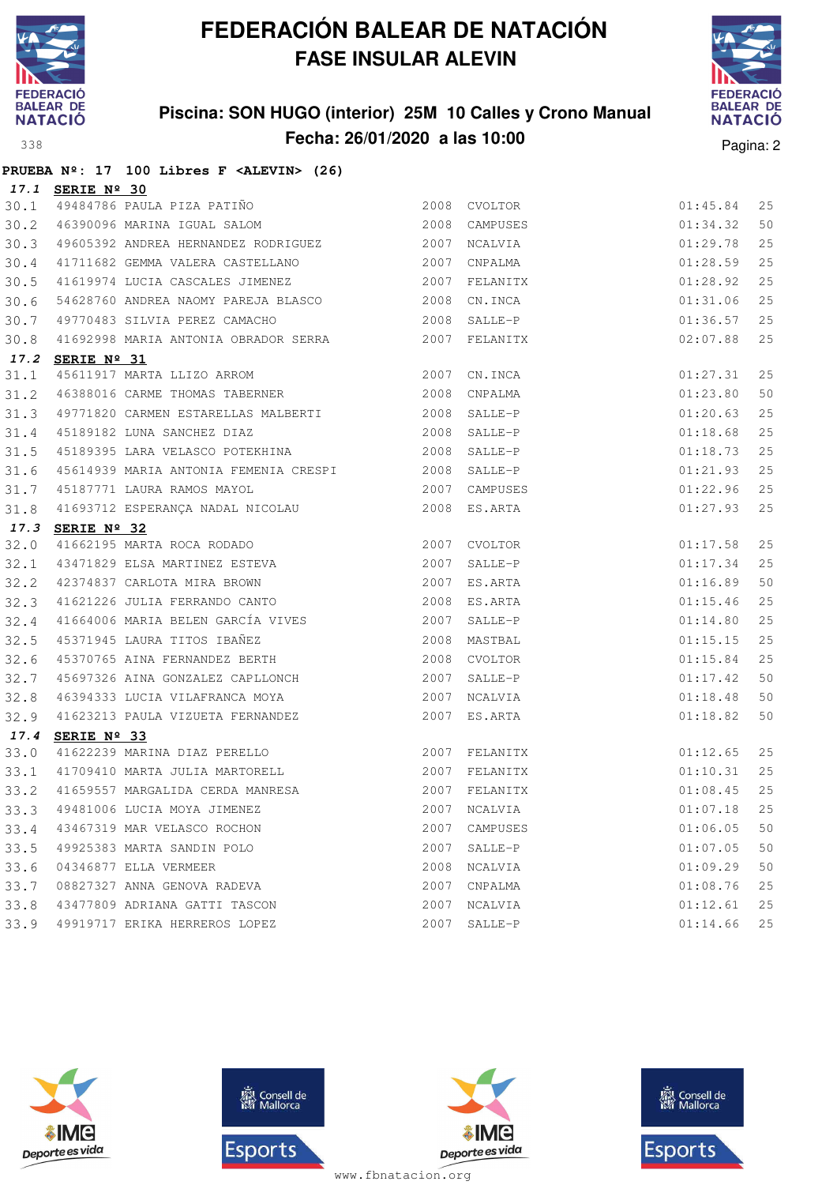

**PRUEBA Nº: 17 100 Libres F <ALEVIN> (26)**

## **FEDERACIÓN BALEAR DE NATACIÓN FASE INSULAR ALEVIN**

### **Piscina: SON HUGO (interior) 25M 10 Calles y Crono Manual Fecha: 26/01/2020 a las 10:00** Pagina: 2



|      | 17.1 SERIE Nº 30                                                                                                       |      |               |          |    |
|------|------------------------------------------------------------------------------------------------------------------------|------|---------------|----------|----|
| 30.1 | <b>SERIE Nº 30</b><br>49484786 PAULA PIZA PATIÑO (2008) CVOLTOR<br>46390096 MARINA IGUAL SALOM (2008) CAMPUSES         |      |               | 01:45.84 | 25 |
| 30.2 |                                                                                                                        |      |               | 01:34.32 | 50 |
| 30.3 | 49605392 ANDREA HERNANDEZ RODRIGUEZ 2007 NCALVIA                                                                       |      |               | 01:29.78 | 25 |
| 30.4 | 41711682 GEMMA VALERA CASTELLANO 2007 CNPALMA                                                                          |      |               | 01:28.59 | 25 |
| 30.5 | 41619974 LUCIA CASCALES JIMENEZ 2007 FELANITX                                                                          |      |               | 01:28.92 | 25 |
| 30.6 | 54628760 ANDREA NAOMY PAREJA BLASCO 2008                                                                               |      | CN.INCA       | 01:31.06 | 25 |
| 30.7 | 49770483 SILVIA PEREZ CAMACHO 2008                                                                                     |      | SALLE-P       | 01:36.57 | 25 |
| 30.8 | 41692998 MARIA ANTONIA OBRADOR SERRA 62007 FELANITX                                                                    |      |               | 02:07.88 | 25 |
|      | 17.2 SERIE Nº 31                                                                                                       |      |               |          |    |
| 31.1 | 45611917 MARTA LLIZO ARROM 2007 CN.INCA                                                                                |      |               | 01:27.31 | 25 |
| 31.2 | 46388016 CARME THOMAS TABERNER 2008 CNPALMA                                                                            |      |               | 01:23.80 | 50 |
| 31.3 | 49771820 CARMEN ESTARELLAS MALBERTI 2008 SALLE-P                                                                       |      |               | 01:20.63 | 25 |
| 31.4 | 45189182 LUNA SANCHEZ DIAZ<br>2008 SALLE-P                                                                             |      |               | 01:18.68 | 25 |
| 31.5 |                                                                                                                        |      |               | 01:18.73 | 25 |
| 31.6 | 45614939 MARIA ANTONIA FEMENIA CRESPI 2008 SALLE-P                                                                     |      |               | 01:21.93 | 25 |
| 31.7 | 2007 CAMPUSES<br>2007 CAMPUSES<br>45187771 LAURA RAMOS MAYOL                                                           |      |               | 01:22.96 | 25 |
| 31.8 | 41693712 ESPERANÇA NADAL NICOLAU (2008 ES.ARTA                                                                         |      |               | 01:27.93 | 25 |
|      | 17.3 SERIE Nº 32                                                                                                       |      |               |          |    |
| 32.0 | 41662195 MARTA ROCA RODADO 2007 CVOLTOR                                                                                |      |               | 01:17.58 | 25 |
| 32.1 |                                                                                                                        |      |               | 01:17.34 | 25 |
| 32.2 |                                                                                                                        |      |               | 01:16.89 | 50 |
| 32.3 |                                                                                                                        |      |               | 01:15.46 | 25 |
| 32.4 |                                                                                                                        |      |               | 01:14.80 | 25 |
| 32.5 |                                                                                                                        |      |               | 01:15.15 | 25 |
| 32.6 | 45371945 LAURA TITOS IBAÑEZ<br>45370765 AINA FERNANDEZ BERTH 2008 CVOLTOR<br>4565306 AINA FERNANDEZ BERTH 2008 CVOLTOR |      |               | 01:15.84 | 25 |
| 32.7 | 45697326 AINA GONZALEZ CAPLLONCH 2007 SALLE-P                                                                          |      |               | 01:17.42 | 50 |
| 32.8 | 46394333 LUCIA VILAFRANCA MOYA 62007 NCALVIA                                                                           |      |               | 01:18.48 | 50 |
| 32.9 | 41623213 PAULA VIZUETA FERNANDEZ                                                                                       |      | 2007 ES.ARTA  | 01:18.82 | 50 |
| 17.4 | SERIE Nº 33                                                                                                            |      |               |          |    |
| 33.0 |                                                                                                                        |      |               |          | 25 |
|      | 33.1 41709410 MARTA JULIA MARTORELL 2007 FELANITX                                                                      |      |               |          | 25 |
| 33.2 | 41659557 MARGALIDA CERDA MANRESA 2007 FELANITX                                                                         |      |               | 01:08.45 | 25 |
|      | 33.3 49481006 LUCIA MOYA JIMENEZ 2007 NOALVIA 2007 NOALVIA 25                                                          |      |               |          |    |
|      | 33.4 43467319 MAR VELASCO ROCHON                                                                                       |      | 2007 CAMPUSES | 01:06.05 | 50 |
| 33.5 | 49925383 MARTA SANDIN POLO                                                                                             | 2007 | SALLE-P       | 01:07.05 | 50 |
| 33.6 | 04346877 ELLA VERMEER                                                                                                  | 2008 | NCALVIA       | 01:09.29 | 50 |
| 33.7 | 08827327 ANNA GENOVA RADEVA                                                                                            | 2007 | CNPALMA       | 01:08.76 | 25 |
| 33.8 | 43477809 ADRIANA GATTI TASCON                                                                                          | 2007 | NCALVIA       | 01:12.61 | 25 |
|      | 33.9 49919717 ERIKA HERREROS LOPEZ                                                                                     | 2007 | SALLE-P       | 01:14.66 | 25 |







**感** Consell de Esports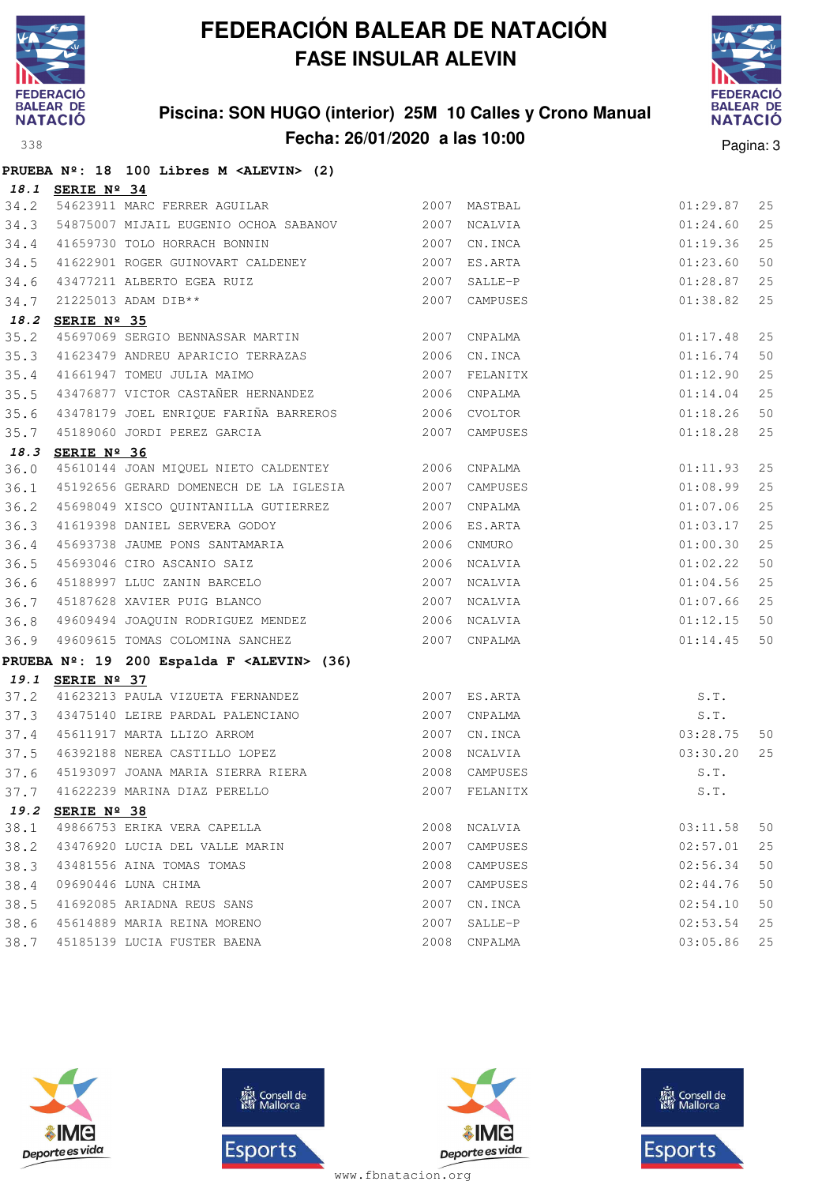

### **Piscina: SON HUGO (interior) 25M 10 Calles y Crono Manual Fecha: 26/01/2020 a las 10:00 Pagina: 3** Pagina: 3



|      |                  | PRUEBA Nº: 18 100 Libres M <alevin> (2)</alevin>                                         |              |                                                                                    |          |    |
|------|------------------|------------------------------------------------------------------------------------------|--------------|------------------------------------------------------------------------------------|----------|----|
|      | 18.1 SERIE Nº 34 |                                                                                          |              |                                                                                    |          |    |
| 34.2 |                  | 2007 MASTBAL<br>54623911 MARC FERRER AGUILAR                                             |              |                                                                                    | 01:29.87 | 25 |
| 34.3 |                  | 54875007 MIJAIL EUGENIO OCHOA SABANOV 600000 2007 NCALVIA                                |              |                                                                                    | 01:24.60 | 25 |
| 34.4 |                  | 41659730 TOLO HORRACH BONNIN                                                             | 2007         | CN.INCA                                                                            | 01:19.36 | 25 |
| 34.5 |                  | 41622901 ROGER GUINOVART CALDENEY 2007 ES.ARTA                                           |              |                                                                                    | 01:23.60 | 50 |
| 34.6 |                  |                                                                                          |              | SALLE-P                                                                            | 01:28.87 | 25 |
| 34.7 |                  | 43477211 ALBERTO EGEA RUIZ 2007<br>21225013 ADAM DIB** 2007<br><b>SERIE Nº 35</b>        | 2007         | CAMPUSES                                                                           | 01:38.82 | 25 |
|      | 18.2 SERIE Nº 35 |                                                                                          |              |                                                                                    |          |    |
| 35.2 |                  | 45697069 SERGIO BENNASSAR MARTIN 2007                                                    |              | ARTIN 2007 CNPALMA<br>RAAZAS 2006 CN.INCA<br>2007 FELANITX<br>RNANDEZ 2006 CNPALMA | 01:17.48 | 25 |
| 35.3 |                  | 41623479 ANDREU APARICIO TERRAZAS                                                        |              |                                                                                    | 01:16.74 | 50 |
| 35.4 |                  | 41661947 TOMEU JULIA MAIMO                                                               |              |                                                                                    | 01:12.90 | 25 |
| 35.5 |                  | 43476877 VICTOR CASTAÑER HERNANDEZ 2006 CNPALMA                                          |              |                                                                                    | 01:14.04 | 25 |
|      |                  | 35.6 43478179 JOEL ENRIQUE FARIÑA BARREROS 2006 CVOLTOR                                  |              |                                                                                    | 01:18.26 | 50 |
| 35.7 |                  | 45189060 JORDI PEREZ GARCIA                                                              |              | 2007 CAMPUSES                                                                      | 01:18.28 | 25 |
|      | 18.3 SERIE Nº 36 |                                                                                          |              |                                                                                    |          |    |
| 36.0 |                  | 45610144 JOAN MIQUEL NIETO CALDENTEY 2006 CNPALMA                                        |              |                                                                                    | 01:11.93 | 25 |
| 36.1 |                  | 45192656 GERARD DOMENECH DE LA IGLESIA 2007                                              |              | CAMPUSES                                                                           | 01:08.99 | 25 |
| 36.2 |                  | 45698049 XISCO QUINTANILLA GUTIERREZ                                                     | 2007         | CNPALMA                                                                            | 01:07.06 | 25 |
| 36.3 |                  | 41619398 DANIEL SERVERA GODOY 2006 ES.ARTA                                               |              |                                                                                    | 01:03.17 | 25 |
| 36.4 |                  | 45693738 JAUME PONS SANTAMARIA                                                           | 2006         | CNMURO                                                                             | 01:00.30 | 25 |
| 36.5 |                  | 45693046 CIRO ASCANIO SAIZ<br>45188997 LLUC ZANIN BARCELO<br>45187628 XAVIER PUIG BLANCO | 2006         | NCALVIA                                                                            | 01:02.22 | 50 |
| 36.6 |                  |                                                                                          |              | 2007 NCALVIA                                                                       | 01:04.56 | 25 |
| 36.7 |                  |                                                                                          | 2007 NCALVIA |                                                                                    | 01:07.66 | 25 |
|      |                  | 36.8 49609494 JOAQUIN RODRIGUEZ MENDEZ 2006 NCALVIA                                      |              |                                                                                    | 01:12.15 | 50 |
| 36.9 |                  | 49609615 TOMAS COLOMINA SANCHEZ 2007                                                     |              | CNPALMA                                                                            | 01:14.45 | 50 |
|      |                  | PRUEBA Nº: 19 200 Espalda F <alevin> (36)</alevin>                                       |              |                                                                                    |          |    |
|      | 19.1 SERIE Nº 37 |                                                                                          |              |                                                                                    |          |    |
| 37.2 |                  | 41623213 PAULA VIZUETA FERNANDEZ 62007 ES.ARTA                                           |              |                                                                                    | S.T.     |    |
| 37.3 |                  |                                                                                          |              |                                                                                    | S.T.     |    |
|      |                  | 37.4 45611917 MARTA LLIZO ARROM<br>37.5 46392188 NEREA CASTILLO LOPEZ                    |              | 2007 CN.INCA                                                                       | 03:28.75 | 50 |
|      |                  |                                                                                          |              | 2008 NCALVIA                                                                       | 03:30.20 | 25 |
|      |                  | 37.6 45193097 JOANA MARIA SIERRA RIERA 62008 CAMPUSES                                    |              |                                                                                    | S.T.     |    |
|      |                  | 37.7 41622239 MARINA DIAZ PERELLO                                                        |              |                                                                                    |          |    |
|      | 19.2 SERIE Nº 38 |                                                                                          |              |                                                                                    |          |    |
| 38.1 |                  | 49866753 ERIKA VERA CAPELLA                                                              |              | 2008 NCALVIA                                                                       | 03:11.58 | 50 |
| 38.2 |                  | 43476920 LUCIA DEL VALLE MARIN                                                           | 2007         | CAMPUSES                                                                           | 02:57.01 | 25 |
| 38.3 |                  | 43481556 AINA TOMAS TOMAS                                                                | 2008         | CAMPUSES                                                                           | 02:56.34 | 50 |
| 38.4 |                  | 09690446 LUNA CHIMA                                                                      | 2007         | CAMPUSES                                                                           | 02:44.76 | 50 |
| 38.5 |                  | 41692085 ARIADNA REUS SANS                                                               | 2007         | CN.INCA                                                                            | 02:54.10 | 50 |
| 38.6 |                  | 45614889 MARIA REINA MORENO                                                              | 2007         | SALLE-P                                                                            | 02:53.54 | 25 |
|      |                  | 38.7 45185139 LUCIA FUSTER BAENA                                                         |              | 2008 CNPALMA                                                                       | 03:05.86 | 25 |







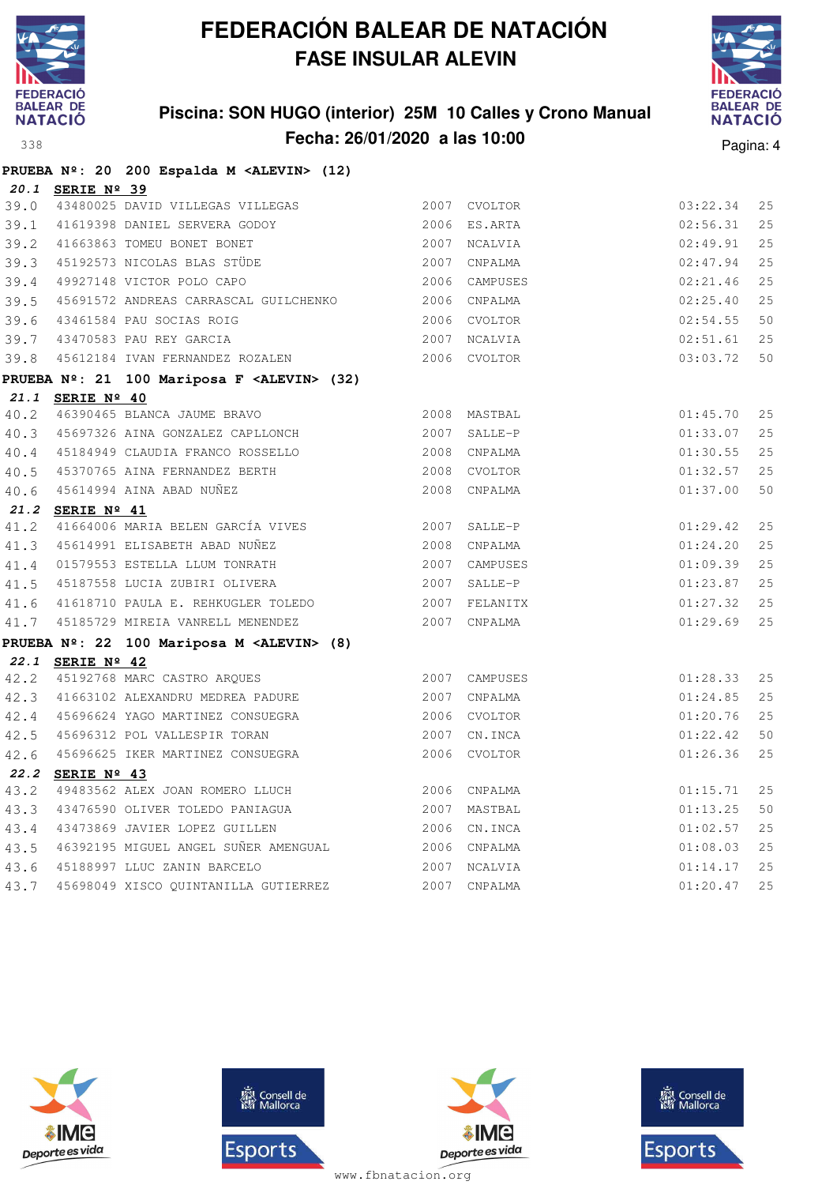

**PRUEBA Nº: 20 200 Espalda M <ALEVIN> (12)**

## **FEDERACIÓN BALEAR DE NATACIÓN FASE INSULAR ALEVIN**

### **Piscina: SON HUGO (interior) 25M 10 Calles y Crono Manual Fecha: 26/01/2020 a las 10:00** Pagina: 4



|      | 20.1 SERIE Nº 39                                      |               |          |    |
|------|-------------------------------------------------------|---------------|----------|----|
| 39.0 | 43480025 DAVID VILLEGAS VILLEGAS                      | 2007 CVOLTOR  | 03:22.34 | 25 |
| 39.1 | 41619398 DANIEL SERVERA GODOY                         | 2006 ES.ARTA  | 02:56.31 | 25 |
|      | 39.2 41663863 TOMEU BONET BONET                       | 2007 NCALVIA  | 02:49.91 | 25 |
|      | 39.3 45192573 NICOLAS BLAS STÜDE                      | 2007 CNPALMA  | 02:47.94 | 25 |
| 39.4 | 49927148 VICTOR POLO CAPO                             | 2006 CAMPUSES | 02:21.46 | 25 |
| 39.5 | 45691572 ANDREAS CARRASCAL GUILCHENKO 2006 CNPALMA    |               | 02:25.40 | 25 |
| 39.6 | 43461584 PAU SOCIAS ROIG                              | 2006 CVOLTOR  | 02:54.55 | 50 |
|      | 39.7 43470583 PAU REY GARCIA                          | 2007 NCALVIA  | 02:51.61 | 25 |
|      | 39.8 45612184 IVAN FERNANDEZ ROZALEN                  | 2006 CVOLTOR  | 03:03.72 | 50 |
|      | PRUEBA Nº: 21 100 Mariposa F <alevin> (32)</alevin>   |               |          |    |
|      | 21.1 SERIE Nº 40                                      |               |          |    |
|      | 40.2 46390465 BLANCA JAUME BRAVO                      | 2008 MASTBAL  | 01:45.70 | 25 |
|      | 40.3 45697326 AINA GONZALEZ CAPLLONCH 2007 SALLE-P    |               | 01:33.07 | 25 |
|      | 40.4 45184949 CLAUDIA FRANCO ROSSELLO                 | 2008 CNPALMA  | 01:30.55 | 25 |
| 40.5 | 45370765 AINA FERNANDEZ BERTH                         | 2008 CVOLTOR  | 01:32.57 | 25 |
|      | 40.6 45614994 AINA ABAD NUÑEZ                         | 2008 CNPALMA  | 01:37.00 | 50 |
|      | 21.2 SERIE Nº 41                                      |               |          |    |
| 41.2 | 41664006 MARIA BELEN GARCÍA VIVES                     | 2007 SALLE-P  | 01:29.42 | 25 |
|      | 41.3 45614991 ELISABETH ABAD NUÑEZ                    | 2008 CNPALMA  | 01:24.20 | 25 |
|      | 41.4 01579553 ESTELLA LLUM TONRATH                    | 2007 CAMPUSES | 01:09.39 | 25 |
|      | 41.5 45187558 LUCIA ZUBIRI OLIVERA                    | 2007 SALLE-P  | 01:23.87 | 25 |
|      | 41.6 41618710 PAULA E. REHKUGLER TOLEDO 2007 FELANITX |               | 01:27.32 | 25 |
|      | 41.7 45185729 MIREIA VANRELL MENENDEZ                 | 2007 CNPALMA  | 01:29.69 | 25 |
|      | PRUEBA Nº: 22 100 Mariposa M <alevin> (8)</alevin>    |               |          |    |
|      | 22.1 SERIE Nº 42                                      |               |          |    |
|      | 42.2 45192768 MARC CASTRO ARQUES                      | 2007 CAMPUSES | 01:28.33 | 25 |
|      | 42.3 41663102 ALEXANDRU MEDREA PADURE                 | 2007 CNPALMA  | 01:24.85 | 25 |
|      | 42.4 45696624 YAGO MARTINEZ CONSUEGRA                 | 2006 CVOLTOR  | 01:20.76 | 25 |
| 42.5 | 45696312 POL VALLESPIR TORAN                          | 2007 CN. INCA | 01:22.42 | 50 |
| 42.6 | 45696625 IKER MARTINEZ CONSUEGRA                      | 2006 CVOLTOR  | 01:26.36 | 25 |
|      | 22.2 SERIE Nº 43                                      |               |          |    |
| 43.2 | 49483562 ALEX JOAN ROMERO LLUCH                       | 2006 CNPALMA  | 01:15.71 | 25 |
| 43.3 | 43476590 OLIVER TOLEDO PANIAGUA                       | 2007 MASTBAL  | 01:13.25 | 50 |
|      | 43.4 43473869 JAVIER LOPEZ GUILLEN                    | 2006 CN.INCA  | 01:02.57 | 25 |
|      | 43.5 46392195 MIGUEL ANGEL SUÑER AMENGUAL             | 2006 CNPALMA  | 01:08.03 | 25 |
|      | 43.6 45188997 LLUC ZANIN BARCELO                      | 2007 NCALVIA  | 01:14.17 | 25 |
| 43.7 | 45698049 XISCO QUINTANILLA GUTIERREZ                  | 2007 CNPALMA  | 01:20.47 | 25 |







**感** Consell de Esports